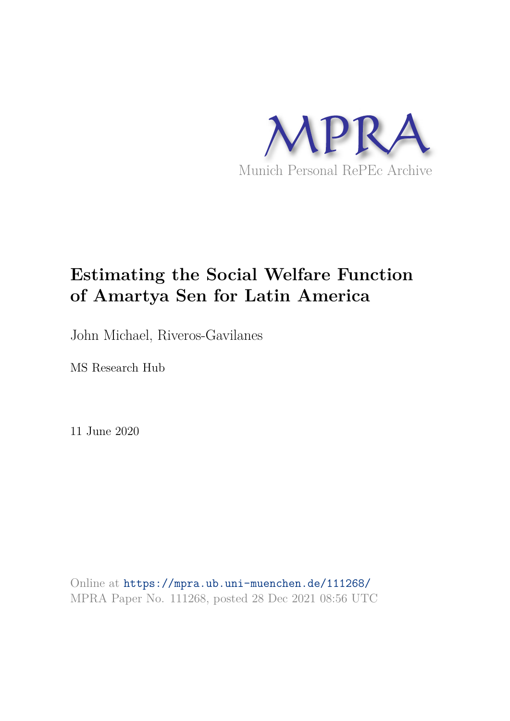

# **Estimating the Social Welfare Function of Amartya Sen for Latin America**

John Michael, Riveros-Gavilanes

MS Research Hub

11 June 2020

Online at https://mpra.ub.uni-muenchen.de/111268/ MPRA Paper No. 111268, posted 28 Dec 2021 08:56 UTC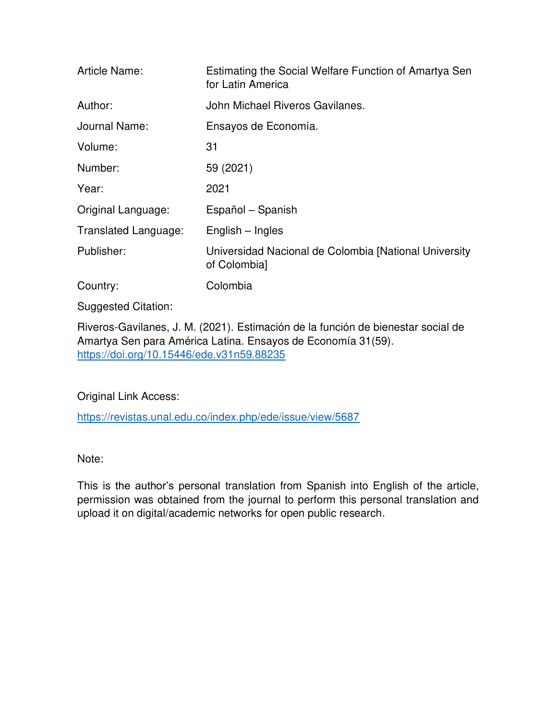| Article Name:        | Estimating the Social Welfare Function of Amartya Sen<br>for Latin America |
|----------------------|----------------------------------------------------------------------------|
| Author:              | John Michael Riveros Gavilanes.                                            |
| Journal Name:        | Ensayos de Economía.                                                       |
| Volume:              | 31                                                                         |
| Number:              | 59 (2021)                                                                  |
| Year:                | 2021                                                                       |
| Original Language:   | Español – Spanish                                                          |
| Translated Language: | English – Ingles                                                           |
| Publisher:           | Universidad Nacional de Colombia [National University<br>of Colombia]      |
| Country:             | Colombia                                                                   |

Suggested Citation:

Riveros-Gavilanes, J. M. (2021). Estimación de la función de bienestar social de Amartya Sen para América Latina. Ensayos de Economía 31(59). <https://doi.org/10.15446/ede.v31n59.88235>

Original Link Access:

<https://revistas.unal.edu.co/index.php/ede/issue/view/5687>

Note:

This is the author's personal translation from Spanish into English of the article, permission was obtained from the journal to perform this personal translation and upload it on digital/academic networks for open public research.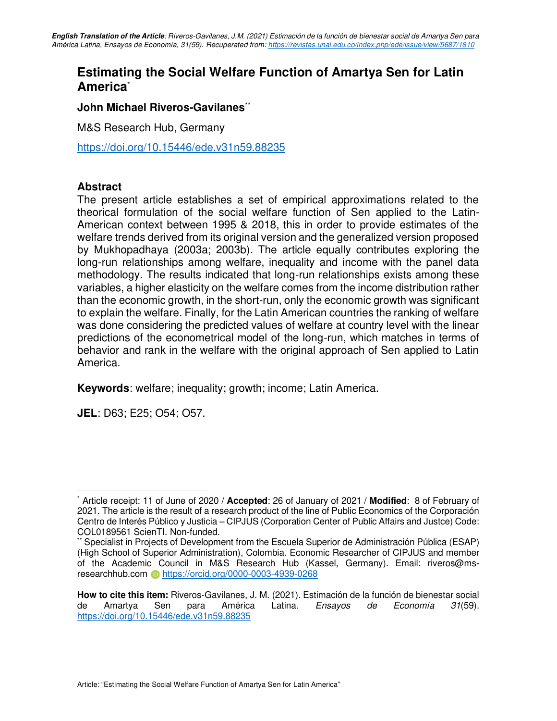### **Estimating the Social Welfare Function of Amartya Sen for Latin America**\*

### **John Michael Riveros-Gavilanes**\*\*

M&S Research Hub, Germany

<https://doi.org/10.15446/ede.v31n59.88235>

### **Abstract**

The present article establishes a set of empirical approximations related to the theorical formulation of the social welfare function of Sen applied to the Latin-American context between 1995 & 2018, this in order to provide estimates of the welfare trends derived from its original version and the generalized version proposed by Mukhopadhaya (2003a; 2003b). The article equally contributes exploring the long-run relationships among welfare, inequality and income with the panel data methodology. The results indicated that long-run relationships exists among these variables, a higher elasticity on the welfare comes from the income distribution rather than the economic growth, in the short-run, only the economic growth was significant to explain the welfare. Finally, for the Latin American countries the ranking of welfare was done considering the predicted values of welfare at country level with the linear predictions of the econometrical model of the long-run, which matches in terms of behavior and rank in the welfare with the original approach of Sen applied to Latin America.

**Keywords**: welfare; inequality; growth; income; Latin America.

**JEL**: D63; E25; O54; O57.

<sup>\*</sup> Article receipt: 11 of June of 2020 / **Accepted**: 26 of January of 2021 / **Modified**: 8 of February of 2021. The article is the result of a research product of the line of Public Economics of the Corporación Centro de Interés Público y Justicia – CIPJUS (Corporation Center of Public Affairs and Justce) Code: COL0189561 ScienTI. Non-funded.

Specialist in Projects of Development from the Escuela Superior de Administración Pública (ESAP) (High School of Superior Administration), Colombia. Economic Researcher of CIPJUS and member of the Academic Council in M&S Research Hub (Kassel, Germany). Email: riveros@msresearchhub.com <https://orcid.org/0000-0003-4939-0268>

**How to cite this item:** Riveros-Gavilanes, J. M. (2021). Estimación de la función de bienestar social de Amartya Sen para América Latina. Ensayos de Economía 31(59). <https://doi.org/10.15446/ede.v31n59.88235>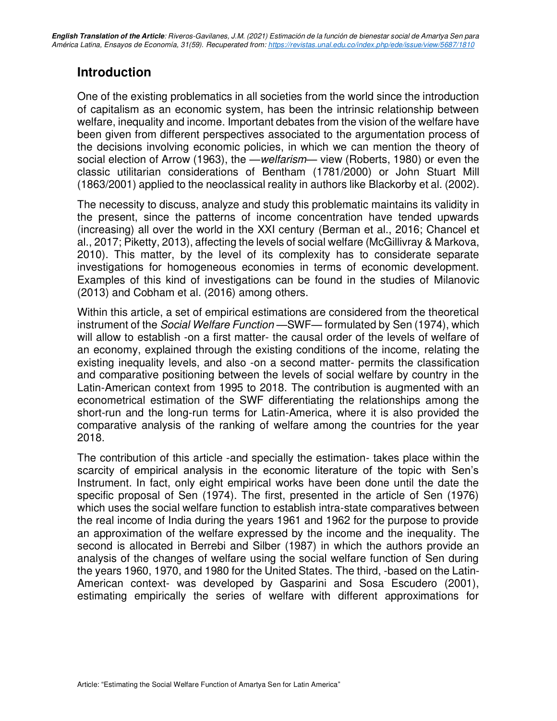### **Introduction**

One of the existing problematics in all societies from the world since the introduction of capitalism as an economic system, has been the intrinsic relationship between welfare, inequality and income. Important debates from the vision of the welfare have been given from different perspectives associated to the argumentation process of the decisions involving economic policies, in which we can mention the theory of social election of Arrow (1963), the —*welfarism*— view (Roberts, 1980) or even the classic utilitarian considerations of Bentham (1781/2000) or John Stuart Mill (1863/2001) applied to the neoclassical reality in authors like Blackorby et al. (2002).

The necessity to discuss, analyze and study this problematic maintains its validity in the present, since the patterns of income concentration have tended upwards (increasing) all over the world in the XXI century (Berman et al., 2016; Chancel et al., 2017; Piketty, 2013), affecting the levels of social welfare (McGillivray & Markova, 2010). This matter, by the level of its complexity has to considerate separate investigations for homogeneous economies in terms of economic development. Examples of this kind of investigations can be found in the studies of Milanovic (2013) and Cobham et al. (2016) among others.

Within this article, a set of empirical estimations are considered from the theoretical instrument of the Social Welfare Function —SWF— formulated by Sen (1974), which will allow to establish -on a first matter- the causal order of the levels of welfare of an economy, explained through the existing conditions of the income, relating the existing inequality levels, and also -on a second matter- permits the classification and comparative positioning between the levels of social welfare by country in the Latin-American context from 1995 to 2018. The contribution is augmented with an econometrical estimation of the SWF differentiating the relationships among the short-run and the long-run terms for Latin-America, where it is also provided the comparative analysis of the ranking of welfare among the countries for the year 2018.

The contribution of this article -and specially the estimation- takes place within the scarcity of empirical analysis in the economic literature of the topic with Sen's Instrument. In fact, only eight empirical works have been done until the date the specific proposal of Sen (1974). The first, presented in the article of Sen (1976) which uses the social welfare function to establish intra-state comparatives between the real income of India during the years 1961 and 1962 for the purpose to provide an approximation of the welfare expressed by the income and the inequality. The second is allocated in Berrebi and Silber (1987) in which the authors provide an analysis of the changes of welfare using the social welfare function of Sen during the years 1960, 1970, and 1980 for the United States. The third, -based on the Latin-American context- was developed by Gasparini and Sosa Escudero (2001), estimating empirically the series of welfare with different approximations for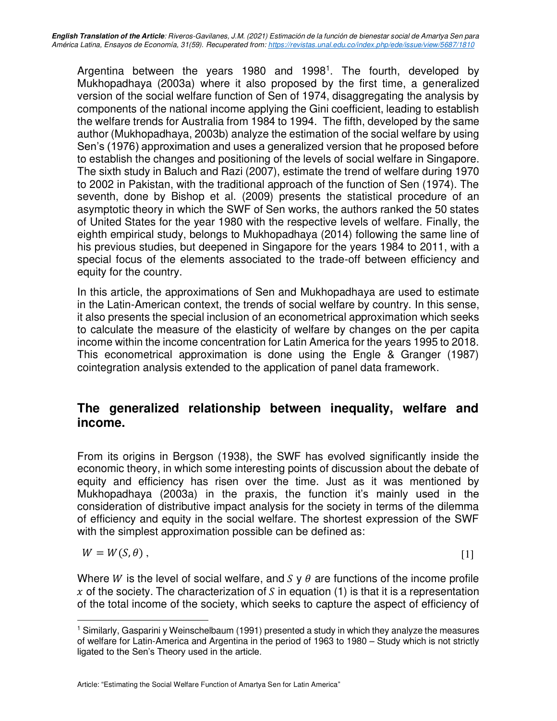Argentina between the years 1980 and 1998<sup>1</sup>. The fourth, developed by Mukhopadhaya (2003a) where it also proposed by the first time, a generalized version of the social welfare function of Sen of 1974, disaggregating the analysis by components of the national income applying the Gini coefficient, leading to establish the welfare trends for Australia from 1984 to 1994. The fifth, developed by the same author (Mukhopadhaya, 2003b) analyze the estimation of the social welfare by using Sen's (1976) approximation and uses a generalized version that he proposed before to establish the changes and positioning of the levels of social welfare in Singapore. The sixth study in Baluch and Razi (2007), estimate the trend of welfare during 1970 to 2002 in Pakistan, with the traditional approach of the function of Sen (1974). The seventh, done by Bishop et al. (2009) presents the statistical procedure of an asymptotic theory in which the SWF of Sen works, the authors ranked the 50 states of United States for the year 1980 with the respective levels of welfare. Finally, the eighth empirical study, belongs to Mukhopadhaya (2014) following the same line of his previous studies, but deepened in Singapore for the years 1984 to 2011, with a special focus of the elements associated to the trade-off between efficiency and equity for the country.

In this article, the approximations of Sen and Mukhopadhaya are used to estimate in the Latin-American context, the trends of social welfare by country. In this sense, it also presents the special inclusion of an econometrical approximation which seeks to calculate the measure of the elasticity of welfare by changes on the per capita income within the income concentration for Latin America for the years 1995 to 2018. This econometrical approximation is done using the Engle & Granger (1987) cointegration analysis extended to the application of panel data framework.

### **The generalized relationship between inequality, welfare and income.**

From its origins in Bergson (1938), the SWF has evolved significantly inside the economic theory, in which some interesting points of discussion about the debate of equity and efficiency has risen over the time. Just as it was mentioned by Mukhopadhaya (2003a) in the praxis, the function it's mainly used in the consideration of distributive impact analysis for the society in terms of the dilemma of efficiency and equity in the social welfare. The shortest expression of the SWF with the simplest approximation possible can be defined as:

$$
W = W(S, \theta) \tag{1}
$$

Where W is the level of social welfare, and S y  $\theta$  are functions of the income profile x of the society. The characterization of S in equation (1) is that it is a representation of the total income of the society, which seeks to capture the aspect of efficiency of

<sup>&</sup>lt;sup>1</sup> Similarly, Gasparini y Weinschelbaum (1991) presented a study in which they analyze the measures of welfare for Latin-America and Argentina in the period of 1963 to 1980 – Study which is not strictly ligated to the Sen's Theory used in the article.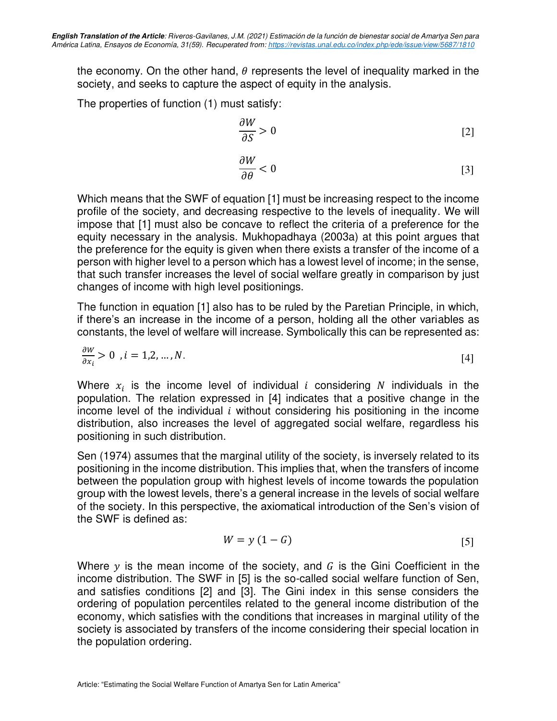the economy. On the other hand,  $\theta$  represents the level of inequality marked in the society, and seeks to capture the aspect of equity in the analysis.

The properties of function (1) must satisfy:

$$
\frac{\partial W}{\partial S} > 0 \tag{2}
$$

$$
\frac{\partial W}{\partial \theta} < 0 \tag{3}
$$

Which means that the SWF of equation [1] must be increasing respect to the income profile of the society, and decreasing respective to the levels of inequality. We will impose that [1] must also be concave to reflect the criteria of a preference for the equity necessary in the analysis. Mukhopadhaya (2003a) at this point argues that the preference for the equity is given when there exists a transfer of the income of a person with higher level to a person which has a lowest level of income; in the sense, that such transfer increases the level of social welfare greatly in comparison by just changes of income with high level positionings.

The function in equation [1] also has to be ruled by the Paretian Principle, in which, if there's an increase in the income of a person, holding all the other variables as constants, the level of welfare will increase. Symbolically this can be represented as:

$$
\frac{\partial W}{\partial x_i} > 0 \quad i = 1, 2, \dots, N. \tag{4}
$$

Where  $x_i$  is the income level of individual *i* considering *N* individuals in the population. The relation expressed in [4] indicates that a positive change in the income level of the individual  $i$  without considering his positioning in the income distribution, also increases the level of aggregated social welfare, regardless his positioning in such distribution.

Sen (1974) assumes that the marginal utility of the society, is inversely related to its positioning in the income distribution. This implies that, when the transfers of income between the population group with highest levels of income towards the population group with the lowest levels, there's a general increase in the levels of social welfare of the society. In this perspective, the axiomatical introduction of the Sen's vision of the SWF is defined as:

$$
W = y(1 - G) \tag{5}
$$

Where  $y$  is the mean income of the society, and  $G$  is the Gini Coefficient in the income distribution. The SWF in [5] is the so-called social welfare function of Sen, and satisfies conditions [2] and [3]. The Gini index in this sense considers the ordering of population percentiles related to the general income distribution of the economy, which satisfies with the conditions that increases in marginal utility of the society is associated by transfers of the income considering their special location in the population ordering.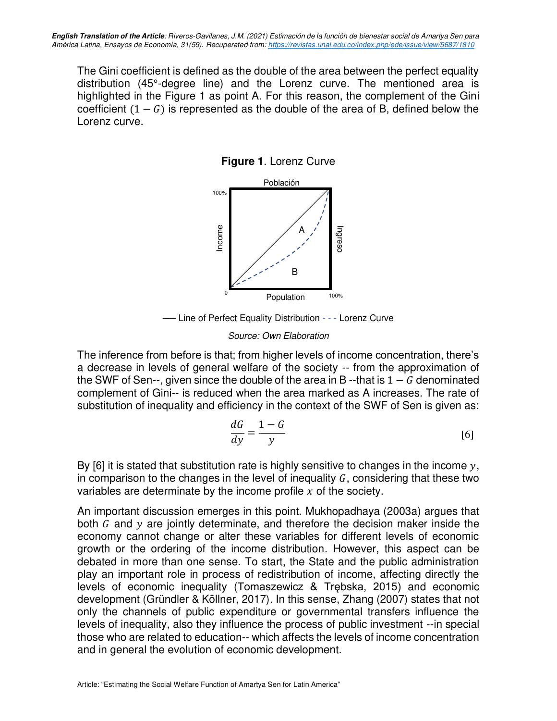The Gini coefficient is defined as the double of the area between the perfect equality distribution (45°-degree line) and the Lorenz curve. The mentioned area is highlighted in the Figure 1 as point A. For this reason, the complement of the Gini coefficient  $(1 - G)$  is represented as the double of the area of B, defined below the Lorenz curve.

**Figure 1**. Lorenz Curve



── Line of Perfect Equality Distribution - - - Lorenz Curve

### Source: Own Elaboration

The inference from before is that; from higher levels of income concentration, there's a decrease in levels of general welfare of the society -- from the approximation of the SWF of Sen--, given since the double of the area in B --that is  $1 - G$  denominated complement of Gini-- is reduced when the area marked as A increases. The rate of substitution of inequality and efficiency in the context of the SWF of Sen is given as:

$$
\frac{dG}{dy} = \frac{1-G}{y} \tag{6}
$$

By [6] it is stated that substitution rate is highly sensitive to changes in the income  $y$ , in comparison to the changes in the level of inequality  $G$ , considering that these two variables are determinate by the income profile  $x$  of the society.

An important discussion emerges in this point. Mukhopadhaya (2003a) argues that both  $G$  and  $y$  are jointly determinate, and therefore the decision maker inside the economy cannot change or alter these variables for different levels of economic growth or the ordering of the income distribution. However, this aspect can be debated in more than one sense. To start, the State and the public administration play an important role in process of redistribution of income, affecting directly the levels of economic inequality (Tomaszewicz & Trębska, 2015) and economic development (Gründler & Köllner, 2017). In this sense, Zhang (2007) states that not only the channels of public expenditure or governmental transfers influence the levels of inequality, also they influence the process of public investment --in special those who are related to education-- which affects the levels of income concentration and in general the evolution of economic development.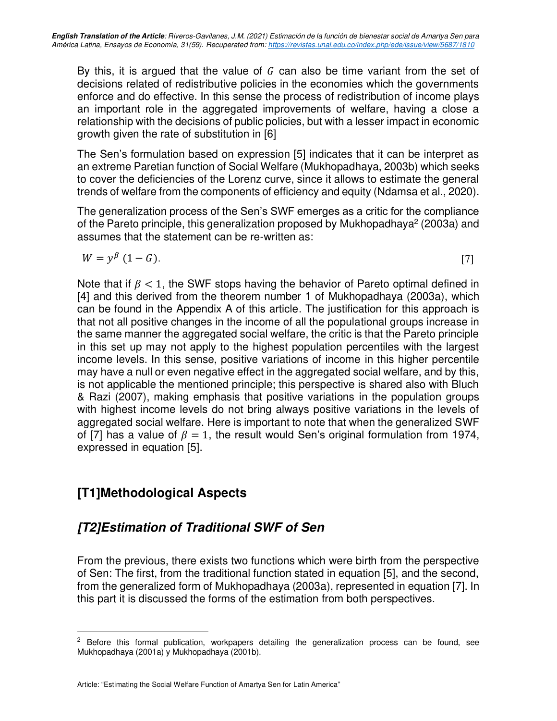By this, it is argued that the value of  $G$  can also be time variant from the set of decisions related of redistributive policies in the economies which the governments enforce and do effective. In this sense the process of redistribution of income plays an important role in the aggregated improvements of welfare, having a close a relationship with the decisions of public policies, but with a lesser impact in economic growth given the rate of substitution in [6]

The Sen's formulation based on expression [5] indicates that it can be interpret as an extreme Paretian function of Social Welfare (Mukhopadhaya, 2003b) which seeks to cover the deficiencies of the Lorenz curve, since it allows to estimate the general trends of welfare from the components of efficiency and equity (Ndamsa et al., 2020).

The generalization process of the Sen's SWF emerges as a critic for the compliance of the Pareto principle, this generalization proposed by Mukhopadhaya<sup>2</sup> (2003a) and assumes that the statement can be re-written as:

$$
W = y^{\beta} (1 - G). \tag{7}
$$

Note that if  $\beta$  < 1, the SWF stops having the behavior of Pareto optimal defined in [4] and this derived from the theorem number 1 of Mukhopadhaya (2003a), which can be found in the Appendix A of this article. The justification for this approach is that not all positive changes in the income of all the populational groups increase in the same manner the aggregated social welfare, the critic is that the Pareto principle in this set up may not apply to the highest population percentiles with the largest income levels. In this sense, positive variations of income in this higher percentile may have a null or even negative effect in the aggregated social welfare, and by this, is not applicable the mentioned principle; this perspective is shared also with Bluch & Razi (2007), making emphasis that positive variations in the population groups with highest income levels do not bring always positive variations in the levels of aggregated social welfare. Here is important to note that when the generalized SWF of [7] has a value of  $\beta = 1$ , the result would Sen's original formulation from 1974, expressed in equation [5].

### **[T1]Methodological Aspects**

### **[T2]Estimation of Traditional SWF of Sen**

From the previous, there exists two functions which were birth from the perspective of Sen: The first, from the traditional function stated in equation [5], and the second, from the generalized form of Mukhopadhaya (2003a), represented in equation [7]. In this part it is discussed the forms of the estimation from both perspectives.

 $2$  Before this formal publication, workpapers detailing the generalization process can be found, see Mukhopadhaya (2001a) y Mukhopadhaya (2001b).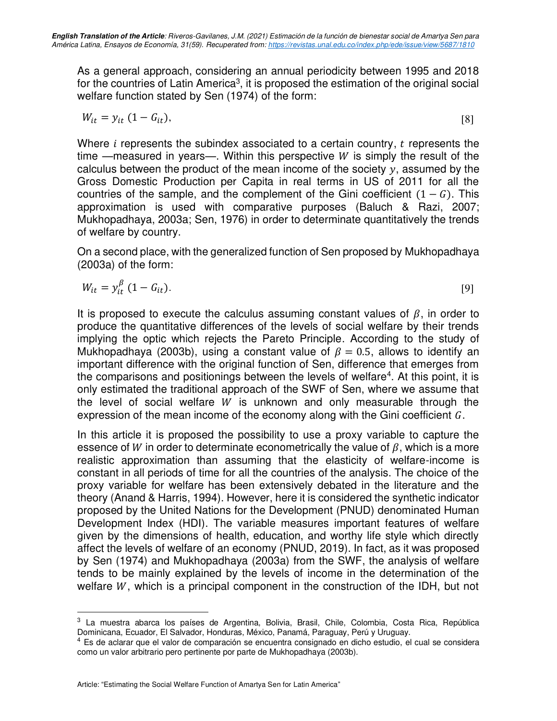As a general approach, considering an annual periodicity between 1995 and 2018 for the countries of Latin America<sup>3</sup>, it is proposed the estimation of the original social welfare function stated by Sen (1974) of the form:

$$
W_{it} = y_{it} \left( 1 - G_{it} \right), \tag{8}
$$

Where  $i$  represents the subindex associated to a certain country,  $t$  represents the time —measured in years—. Within this perspective  $W$  is simply the result of the calculus between the product of the mean income of the society  $y$ , assumed by the Gross Domestic Production per Capita in real terms in US of 2011 for all the countries of the sample, and the complement of the Gini coefficient  $(1 - G)$ . This approximation is used with comparative purposes (Baluch & Razi, 2007; Mukhopadhaya, 2003a; Sen, 1976) in order to determinate quantitatively the trends of welfare by country.

On a second place, with the generalized function of Sen proposed by Mukhopadhaya (2003a) of the form:

$$
W_{it} = y_{it}^{\beta} (1 - G_{it}). \tag{9}
$$

It is proposed to execute the calculus assuming constant values of  $\beta$ , in order to produce the quantitative differences of the levels of social welfare by their trends implying the optic which rejects the Pareto Principle. According to the study of Mukhopadhaya (2003b), using a constant value of  $\beta = 0.5$ , allows to identify an important difference with the original function of Sen, difference that emerges from the comparisons and positionings between the levels of welfare<sup>4</sup>. At this point, it is only estimated the traditional approach of the SWF of Sen, where we assume that the level of social welfare  $W$  is unknown and only measurable through the expression of the mean income of the economy along with the Gini coefficient  $G$ .

In this article it is proposed the possibility to use a proxy variable to capture the essence of W in order to determinate econometrically the value of  $\beta$ , which is a more realistic approximation than assuming that the elasticity of welfare-income is constant in all periods of time for all the countries of the analysis. The choice of the proxy variable for welfare has been extensively debated in the literature and the theory (Anand & Harris, 1994). However, here it is considered the synthetic indicator proposed by the United Nations for the Development (PNUD) denominated Human Development Index (HDI). The variable measures important features of welfare given by the dimensions of health, education, and worthy life style which directly affect the levels of welfare of an economy (PNUD, 2019). In fact, as it was proposed by Sen (1974) and Mukhopadhaya (2003a) from the SWF, the analysis of welfare tends to be mainly explained by the levels of income in the determination of the welfare  $W$ , which is a principal component in the construction of the IDH, but not

<sup>3</sup> La muestra abarca los países de Argentina, Bolivia, Brasil, Chile, Colombia, Costa Rica, República Dominicana, Ecuador, El Salvador, Honduras, México, Panamá, Paraguay, Perú y Uruguay.

<sup>4</sup> Es de aclarar que el valor de comparación se encuentra consignado en dicho estudio, el cual se considera como un valor arbitrario pero pertinente por parte de Mukhopadhaya (2003b).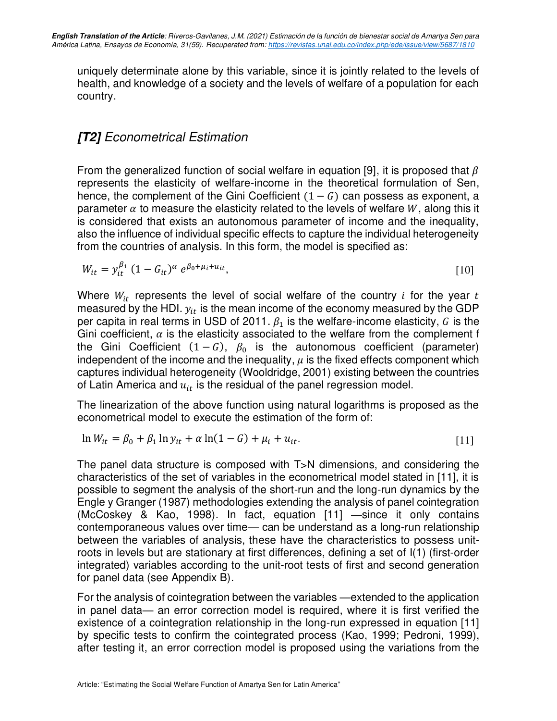uniquely determinate alone by this variable, since it is jointly related to the levels of health, and knowledge of a society and the levels of welfare of a population for each country.

### **[T2]** Econometrical Estimation

From the generalized function of social welfare in equation [9], it is proposed that  $\beta$ represents the elasticity of welfare-income in the theoretical formulation of Sen, hence, the complement of the Gini Coefficient  $(1 - G)$  can possess as exponent, a parameter  $\alpha$  to measure the elasticity related to the levels of welfare W, along this it is considered that exists an autonomous parameter of income and the inequality, also the influence of individual specific effects to capture the individual heterogeneity from the countries of analysis. In this form, the model is specified as:

$$
W_{it} = y_{it}^{\beta_1} (1 - G_{it})^{\alpha} e^{\beta_0 + \mu_i + u_{it}}, \tag{10}
$$

Where  $W_{it}$  represents the level of social welfare of the country *i* for the year *t* measured by the HDI.  $y_{it}$  is the mean income of the economy measured by the GDP per capita in real terms in USD of 2011.  $\beta_1$  is the welfare-income elasticity, G is the Gini coefficient,  $\alpha$  is the elasticity associated to the welfare from the complement f the Gini Coefficient  $(1 - G)$ ,  $\beta_0$  is the autonomous coefficient (parameter) independent of the income and the inequality,  $\mu$  is the fixed effects component which captures individual heterogeneity (Wooldridge, 2001) existing between the countries of Latin America and  $u_{it}$  is the residual of the panel regression model.

The linearization of the above function using natural logarithms is proposed as the econometrical model to execute the estimation of the form of:

$$
\ln W_{it} = \beta_0 + \beta_1 \ln y_{it} + \alpha \ln(1 - G) + \mu_i + u_{it}.
$$
 [11]

The panel data structure is composed with T>N dimensions, and considering the characteristics of the set of variables in the econometrical model stated in [11], it is possible to segment the analysis of the short-run and the long-run dynamics by the Engle y Granger (1987) methodologies extending the analysis of panel cointegration (McCoskey & Kao, 1998). In fact, equation [11] —since it only contains contemporaneous values over time— can be understand as a long-run relationship between the variables of analysis, these have the characteristics to possess unitroots in levels but are stationary at first differences, defining a set of I(1) (first-order integrated) variables according to the unit-root tests of first and second generation for panel data (see Appendix B).

For the analysis of cointegration between the variables —extended to the application in panel data— an error correction model is required, where it is first verified the existence of a cointegration relationship in the long-run expressed in equation [11] by specific tests to confirm the cointegrated process (Kao, 1999; Pedroni, 1999), after testing it, an error correction model is proposed using the variations from the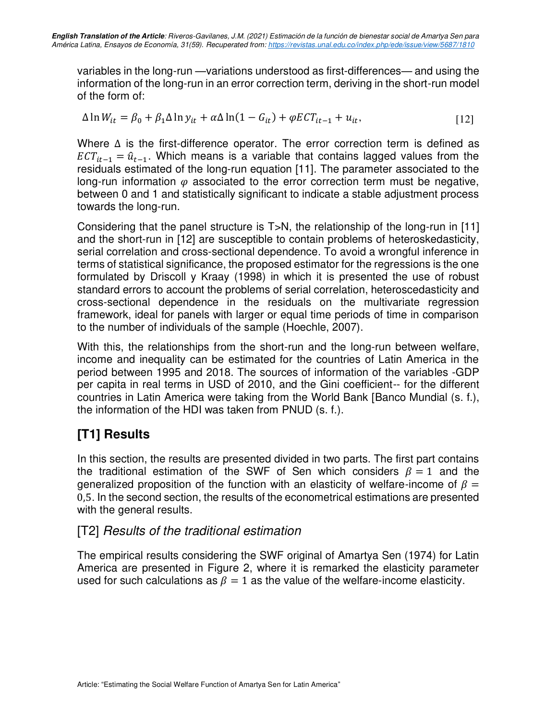variables in the long-run —variations understood as first-differences— and using the information of the long-run in an error correction term, deriving in the short-run model of the form of:

$$
\Delta \ln W_{it} = \beta_0 + \beta_1 \Delta \ln y_{it} + \alpha \Delta \ln (1 - G_{it}) + \varphi ECT_{it-1} + u_{it},
$$
\n[12]

Where ∆ is the first-difference operator. The error correction term is defined as  $ECT_{it-1} = \hat{u}_{t-1}$ . Which means is a variable that contains lagged values from the residuals estimated of the long-run equation [11]. The parameter associated to the long-run information  $\varphi$  associated to the error correction term must be negative, between 0 and 1 and statistically significant to indicate a stable adjustment process towards the long-run.

Considering that the panel structure is T>N, the relationship of the long-run in [11] and the short-run in [12] are susceptible to contain problems of heteroskedasticity, serial correlation and cross-sectional dependence. To avoid a wrongful inference in terms of statistical significance, the proposed estimator for the regressions is the one formulated by Driscoll y Kraay (1998) in which it is presented the use of robust standard errors to account the problems of serial correlation, heteroscedasticity and cross-sectional dependence in the residuals on the multivariate regression framework, ideal for panels with larger or equal time periods of time in comparison to the number of individuals of the sample (Hoechle, 2007).

With this, the relationships from the short-run and the long-run between welfare, income and inequality can be estimated for the countries of Latin America in the period between 1995 and 2018. The sources of information of the variables -GDP per capita in real terms in USD of 2010, and the Gini coefficient-- for the different countries in Latin America were taking from the World Bank [Banco Mundial (s. f.), the information of the HDI was taken from PNUD (s. f.).

### **[T1] Results**

In this section, the results are presented divided in two parts. The first part contains the traditional estimation of the SWF of Sen which considers  $\beta = 1$  and the generalized proposition of the function with an elasticity of welfare-income of  $\beta =$ 0,5. In the second section, the results of the econometrical estimations are presented with the general results.

### [T2] Results of the traditional estimation

The empirical results considering the SWF original of Amartya Sen (1974) for Latin America are presented in Figure 2, where it is remarked the elasticity parameter used for such calculations as  $\beta = 1$  as the value of the welfare-income elasticity.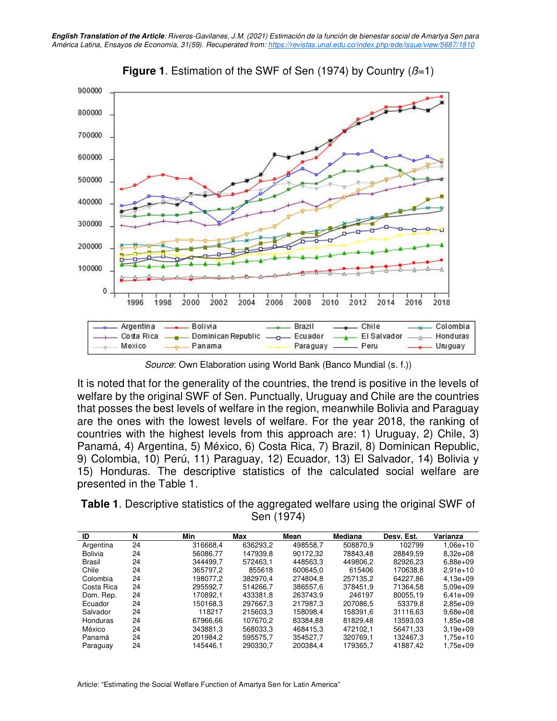



Source: Own Elaboration using World Bank (Banco Mundial (s. f.))

It is noted that for the generality of the countries, the trend is positive in the levels of welfare by the original SWF of Sen. Punctually, Uruguay and Chile are the countries that posses the best levels of welfare in the region, meanwhile Bolivia and Paraguay are the ones with the lowest levels of welfare. For the year 2018, the ranking of countries with the highest levels from this approach are: 1) Uruguay, 2) Chile, 3) Panamá, 4) Argentina, 5) México, 6) Costa Rica, 7) Brazil, 8) Dominican Republic, 9) Colombia, 10) Perú, 11) Paraguay, 12) Ecuador, 13) El Salvador, 14) Bolivia y 15) Honduras. The descriptive statistics of the calculated social welfare are presented in the Table 1.

**Table 1**. Descriptive statistics of the aggregated welfare using the original SWF of Sen (1974)

| ID             | N  | Min      | Max      | Mean     | <b>Mediana</b> | Desv. Est. | Varianza     |
|----------------|----|----------|----------|----------|----------------|------------|--------------|
| Argentina      | 24 | 316668.4 | 636293,2 | 498558.7 | 508870.9       | 102799     | $1.06e + 10$ |
| <b>Bolivia</b> | 24 | 56086.77 | 147939.8 | 90172.32 | 78843.48       | 28849.59   | $8.32e+0.8$  |
| <b>Brasil</b>  | 24 | 344499.7 | 572463.1 | 448563.3 | 449806.2       | 82926.23   | $6.88e + 09$ |
| Chile          | 24 | 365797,2 | 855618   | 600645.0 | 615406         | 170638.8   | $2.91e+10$   |
| Colombia       | 24 | 198077.2 | 382970.4 | 274804.8 | 257135.2       | 64227.86   | $4.13e+09$   |
| Costa Rica     | 24 | 295592,7 | 514266.7 | 386557.6 | 378451.9       | 71364.58   | $5.09e+09$   |
| Dom. Rep.      | 24 | 170892.1 | 433381.8 | 263743.9 | 246197         | 80055.19   | $6.41e+09$   |
| Ecuador        | 24 | 150168.3 | 297667.3 | 217987.3 | 207086.5       | 53379.8    | $2.85e+09$   |
| Salvador       | 24 | 118217   | 215603.3 | 158098.4 | 158391.6       | 31116.63   | $9.68e + 08$ |
| Honduras       | 24 | 67966.66 | 107670.2 | 83384.88 | 81829.48       | 13593.03   | $1.85e+08$   |
| México         | 24 | 343881.3 | 568033.3 | 468415.3 | 472102.1       | 56471.33   | $3.19e + 09$ |
| Panamá         | 24 | 201984,2 | 595575.7 | 354527.7 | 320769.1       | 132467.3   | 1,75e+10     |
| Paraguay       | 24 | 145446.1 | 290330.7 | 200384.4 | 179365.7       | 41887.42   | 1.75e+09     |

Article: "Estimating the Social Welfare Function of Amartya Sen for Latin America"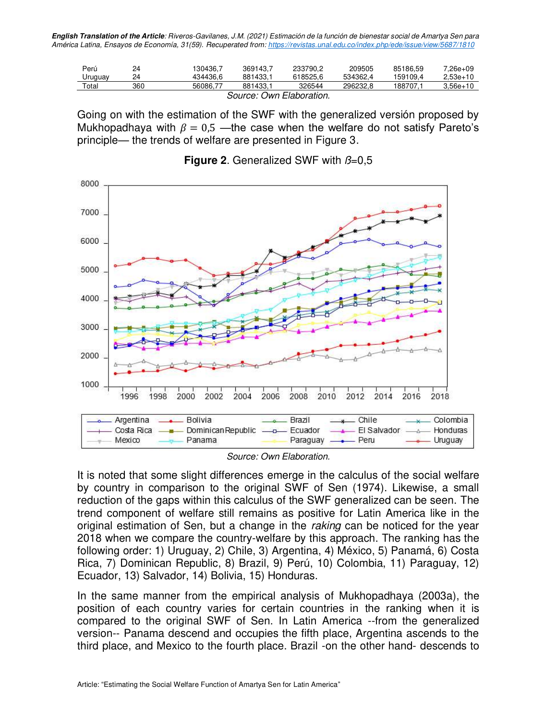**English Translation of the Article**: Riveros-Gavilanes, J.M. (2021) Estimación de la función de bienestar social de Amartya Sen para América Latina, Ensayos de Economía, 31(59). Recuperated from:<https://revistas.unal.edu.co/index.php/ede/issue/view/5687/1810>

| Perú                     | 24  | 130436.7 | 369143.7 | 233790.2 | 209505   | 85186.59 | $7.26e+09$   |
|--------------------------|-----|----------|----------|----------|----------|----------|--------------|
| Uruguay                  | 24  | 434436.6 | 881433.1 | 618525.6 | 534362.4 | 159109.4 | $2.53e+10$   |
| Total                    | 360 | 56086.77 | 881433.1 | 326544   | 296232.8 | 188707.1 | $3.56e + 10$ |
| Cauraa: Ouro Elabaratian |     |          |          |          |          |          |              |

Source: Own Elaboration.

Going on with the estimation of the SWF with the generalized versión proposed by Mukhopadhaya with  $\beta = 0.5$  —the case when the welfare do not satisfy Pareto's principle— the trends of welfare are presented in Figure 3.



#### **Figure 2.** Generalized SWF with  $\beta=0,5$

Source: Own Elaboration.

It is noted that some slight differences emerge in the calculus of the social welfare by country in comparison to the original SWF of Sen (1974). Likewise, a small reduction of the gaps within this calculus of the SWF generalized can be seen. The trend component of welfare still remains as positive for Latin America like in the original estimation of Sen, but a change in the raking can be noticed for the year 2018 when we compare the country-welfare by this approach. The ranking has the following order: 1) Uruguay, 2) Chile, 3) Argentina, 4) México, 5) Panamá, 6) Costa Rica, 7) Dominican Republic, 8) Brazil, 9) Perú, 10) Colombia, 11) Paraguay, 12) Ecuador, 13) Salvador, 14) Bolivia, 15) Honduras.

In the same manner from the empirical analysis of Mukhopadhaya (2003a), the position of each country varies for certain countries in the ranking when it is compared to the original SWF of Sen. In Latin America --from the generalized version-- Panama descend and occupies the fifth place, Argentina ascends to the third place, and Mexico to the fourth place. Brazil -on the other hand- descends to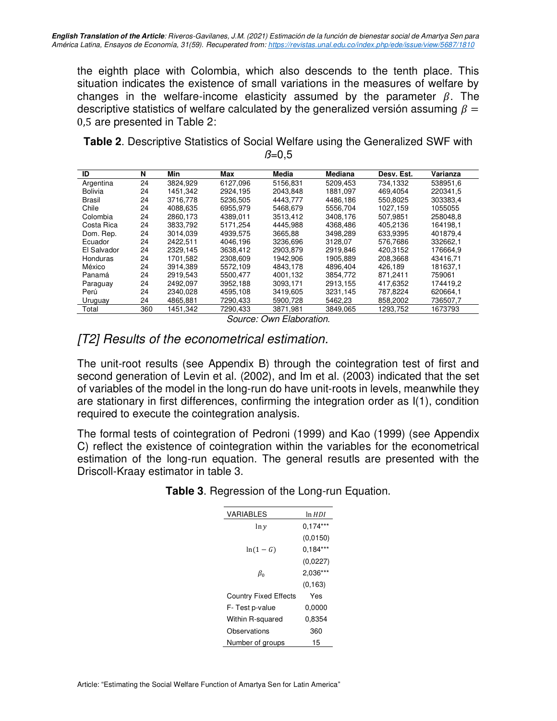the eighth place with Colombia, which also descends to the tenth place. This situation indicates the existence of small variations in the measures of welfare by changes in the welfare-income elasticity assumed by the parameter  $\beta$ . The descriptive statistics of welfare calculated by the generalized versión assuming  $\beta =$ 0,5 are presented in Table 2:

| <b>Table 2.</b> Descriptive Statistics of Social Welfare using the Generalized SWF with |               |  |
|-----------------------------------------------------------------------------------------|---------------|--|
|                                                                                         | $\beta = 0.5$ |  |

| ID             | N   | Min      | Max      | Media    | <b>Mediana</b> | Desv. Est. | Varianza |
|----------------|-----|----------|----------|----------|----------------|------------|----------|
| Argentina      | 24  | 3824.929 | 6127.096 | 5156.831 | 5209.453       | 734.1332   | 538951.6 |
| <b>Bolivia</b> | 24  | 1451.342 | 2924.195 | 2043.848 | 1881.097       | 469.4054   | 220341,5 |
| Brasil         | 24  | 3716.778 | 5236.505 | 4443.777 | 4486.186       | 550.8025   | 303383.4 |
| Chile          | 24  | 4088.635 | 6955.979 | 5468.679 | 5556.704       | 1027.159   | 1055055  |
| Colombia       | 24  | 2860.173 | 4389.011 | 3513.412 | 3408.176       | 507.9851   | 258048.8 |
| Costa Rica     | 24  | 3833.792 | 5171.254 | 4445.988 | 4368.486       | 405.2136   | 164198.1 |
| Dom. Rep.      | 24  | 3014.039 | 4939.575 | 3665,88  | 3498.289       | 633.9395   | 401879.4 |
| Ecuador        | 24  | 2422.511 | 4046.196 | 3236.696 | 3128.07        | 576.7686   | 332662.1 |
| El Salvador    | 24  | 2329,145 | 3638.412 | 2903.879 | 2919.846       | 420.3152   | 176664.9 |
| Honduras       | 24  | 1701.582 | 2308.609 | 1942.906 | 1905.889       | 208.3668   | 43416.71 |
| México         | 24  | 3914.389 | 5572.109 | 4843.178 | 4896.404       | 426.189    | 181637.1 |
| Panamá         | 24  | 2919.543 | 5500.477 | 4001.132 | 3854.772       | 871.2411   | 759061   |
| Paraguay       | 24  | 2492.097 | 3952.188 | 3093.171 | 2913.155       | 417.6352   | 174419,2 |
| Perú           | 24  | 2340.028 | 4595.108 | 3419.605 | 3231.145       | 787.8224   | 620664.1 |
| Uruguay        | 24  | 4865,881 | 7290,433 | 5900,728 | 5462,23        | 858,2002   | 736507,7 |
| Total          | 360 | 1451.342 | 7290.433 | 3871.981 | 3849.065       | 1293.752   | 1673793  |

Source: Own Elaboration.

### [T2] Results of the econometrical estimation.

The unit-root results (see Appendix B) through the cointegration test of first and second generation of Levin et al. (2002), and Im et al. (2003) indicated that the set of variables of the model in the long-run do have unit-roots in levels, meanwhile they are stationary in first differences, confirming the integration order as I(1), condition required to execute the cointegration analysis.

The formal tests of cointegration of Pedroni (1999) and Kao (1999) (see Appendix C) reflect the existence of cointegration within the variables for the econometrical estimation of the long-run equation. The general resutls are presented with the Driscoll-Kraay estimator in table 3.

| ln HDI     |
|------------|
| $0.174***$ |
| (0,0150)   |
| $0,184***$ |
| (0,0227)   |
| 2.036***   |
| (0, 163)   |
| Yes        |
| 0.0000     |
| 0.8354     |
| 360        |
| 15         |
|            |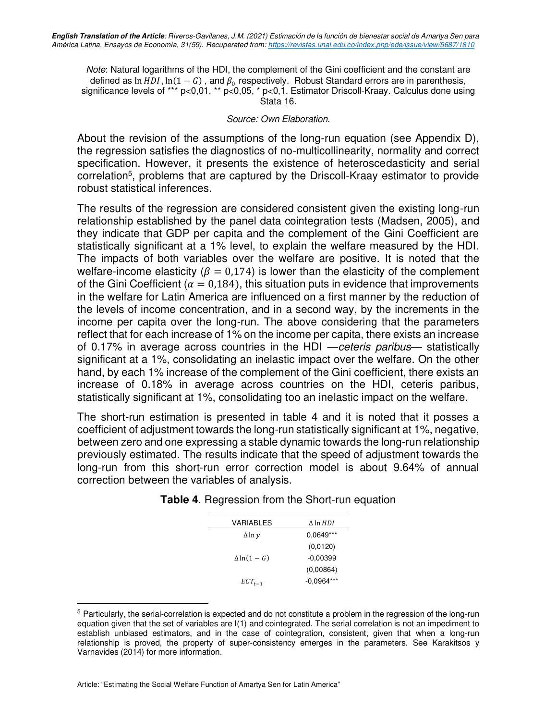Note: Natural logarithms of the HDI, the complement of the Gini coefficient and the constant are defined as  $\ln HDI$ ,  $\ln(1 - G)$ , and  $\beta_0$  respectively. Robust Standard errors are in parenthesis, significance levels of \*\*\* p<0,01, \*\* p<0,05, \* p<0,1. Estimator Driscoll-Kraay. Calculus done using Stata 16.

#### Source: Own Elaboration.

About the revision of the assumptions of the long-run equation (see Appendix D), the regression satisfies the diagnostics of no-multicollinearity, normality and correct specification. However, it presents the existence of heteroscedasticity and serial correlation<sup>5</sup>, problems that are captured by the Driscoll-Kraay estimator to provide robust statistical inferences.

The results of the regression are considered consistent given the existing long-run relationship established by the panel data cointegration tests (Madsen, 2005), and they indicate that GDP per capita and the complement of the Gini Coefficient are statistically significant at a 1% level, to explain the welfare measured by the HDI. The impacts of both variables over the welfare are positive. It is noted that the welfare-income elasticity ( $\beta = 0.174$ ) is lower than the elasticity of the complement of the Gini Coefficient ( $\alpha = 0.184$ ), this situation puts in evidence that improvements in the welfare for Latin America are influenced on a first manner by the reduction of the levels of income concentration, and in a second way, by the increments in the income per capita over the long-run. The above considering that the parameters reflect that for each increase of 1% on the income per capita, there exists an increase of 0.17% in average across countries in the HDI —ceteris paribus*—* statistically significant at a 1%, consolidating an inelastic impact over the welfare. On the other hand, by each 1% increase of the complement of the Gini coefficient, there exists an increase of 0.18% in average across countries on the HDI, ceteris paribus, statistically significant at 1%, consolidating too an inelastic impact on the welfare.

The short-run estimation is presented in table 4 and it is noted that it posses a coefficient of adjustment towards the long-run statistically significant at 1%, negative, between zero and one expressing a stable dynamic towards the long-run relationship previously estimated. The results indicate that the speed of adjustment towards the long-run from this short-run error correction model is about 9.64% of annual correction between the variables of analysis.

| <b>VARIABLES</b>  | $\Delta$ ln HDI |
|-------------------|-----------------|
| $\Delta \ln \nu$  | 0.0649***       |
|                   | (0,0120)        |
| $\Delta \ln(1-G)$ | $-0.00399$      |
|                   | (0,00864)       |
| $ECT_{t-1}$       | $-0.0964***$    |
|                   |                 |

#### **Table 4**. Regression from the Short-run equation

<sup>5</sup> Particularly, the serial-correlation is expected and do not constitute a problem in the regression of the long-run equation given that the set of variables are I(1) and cointegrated. The serial correlation is not an impediment to establish unbiased estimators, and in the case of cointegration, consistent, given that when a long-run relationship is proved, the property of super-consistency emerges in the parameters. See Karakitsos y Varnavides (2014) for more information.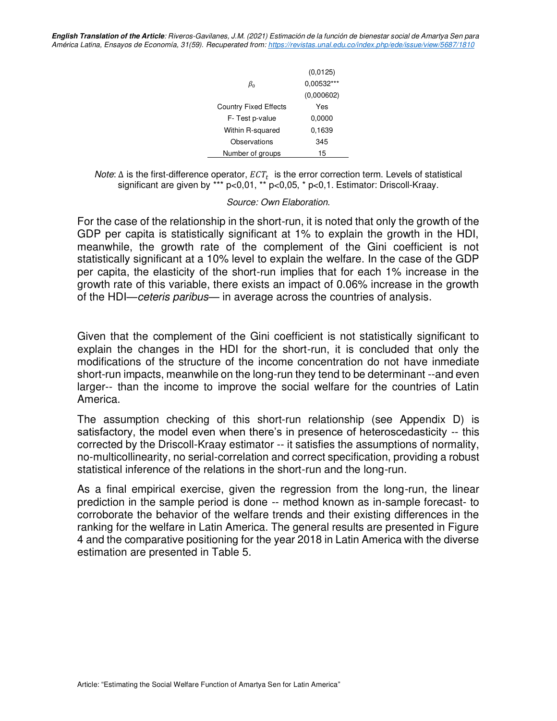**English Translation of the Article**: Riveros-Gavilanes, J.M. (2021) Estimación de la función de bienestar social de Amartya Sen para América Latina, Ensayos de Economía, 31(59). Recuperated from: https://revistas.unal.edu.co/index.php/ede/issue/view/5687/1810

|                              | (0,0125)   |
|------------------------------|------------|
| $\beta_0$                    | 0.00532*** |
|                              | (0,000602) |
| <b>Country Fixed Effects</b> | Yes        |
| F-Test p-value               | 0,0000     |
| Within R-squared             | 0.1639     |
| Observations                 | 345        |
| Number of groups             | 15         |

Note:  $\Delta$  is the first-difference operator,  $ECT_t$  is the error correction term. Levels of statistical significant are given by \*\*\* p<0,01, \*\* p<0,05, \* p<0,1. Estimator: Driscoll-Kraay.

#### Source: Own Elaboration.

For the case of the relationship in the short-run, it is noted that only the growth of the GDP per capita is statistically significant at 1% to explain the growth in the HDI, meanwhile, the growth rate of the complement of the Gini coefficient is not statistically significant at a 10% level to explain the welfare. In the case of the GDP per capita, the elasticity of the short-run implies that for each 1% increase in the growth rate of this variable, there exists an impact of 0.06% increase in the growth of the HDI—ceteris paribus— in average across the countries of analysis.

Given that the complement of the Gini coefficient is not statistically significant to explain the changes in the HDI for the short-run, it is concluded that only the modifications of the structure of the income concentration do not have inmediate short-run impacts, meanwhile on the long-run they tend to be determinant --and even larger-- than the income to improve the social welfare for the countries of Latin America.

The assumption checking of this short-run relationship (see Appendix D) is satisfactory, the model even when there's in presence of heteroscedasticity -- this corrected by the Driscoll-Kraay estimator -- it satisfies the assumptions of normality, no-multicollinearity, no serial-correlation and correct specification, providing a robust statistical inference of the relations in the short-run and the long-run.

As a final empirical exercise, given the regression from the long-run, the linear prediction in the sample period is done -- method known as in-sample forecast- to corroborate the behavior of the welfare trends and their existing differences in the ranking for the welfare in Latin America. The general results are presented in Figure 4 and the comparative positioning for the year 2018 in Latin America with the diverse estimation are presented in Table 5.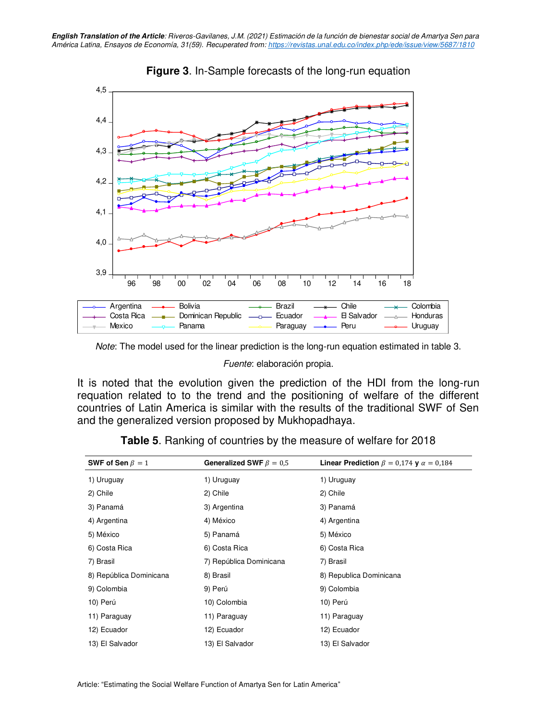

### **Figure 3**. In-Sample forecasts of the long-run equation

Note: The model used for the linear prediction is the long-run equation estimated in table 3.

Fuente: elaboración propia.

It is noted that the evolution given the prediction of the HDI from the long-run requation related to to the trend and the positioning of welfare of the different countries of Latin America is similar with the results of the traditional SWF of Sen and the generalized version proposed by Mukhopadhaya.

| SWF of Sen $\beta = 1$  | Generalized SWF $\beta = 0.5$ | <b>Linear Prediction</b> $\beta = 0.174$ <b>y</b> $\alpha = 0.184$ |
|-------------------------|-------------------------------|--------------------------------------------------------------------|
| 1) Uruguay              | 1) Uruguay                    | 1) Uruguay                                                         |
| 2) Chile                | 2) Chile                      | 2) Chile                                                           |
| 3) Panamá               | 3) Argentina                  | 3) Panamá                                                          |
| 4) Argentina            | 4) México                     | 4) Argentina                                                       |
| 5) México               | 5) Panamá                     | 5) México                                                          |
| 6) Costa Rica           | 6) Costa Rica                 | 6) Costa Rica                                                      |
| 7) Brasil               | 7) República Dominicana       | 7) Brasil                                                          |
| 8) República Dominicana | 8) Brasil                     | 8) Republica Dominicana                                            |
| 9) Colombia             | 9) Perú                       | 9) Colombia                                                        |
| 10) Perú                | 10) Colombia                  | 10) Perú                                                           |
| 11) Paraguay            | 11) Paraguay                  | 11) Paraguay                                                       |
| 12) Ecuador             | 12) Ecuador                   | 12) Ecuador                                                        |
| 13) El Salvador         | 13) El Salvador               | 13) El Salvador                                                    |

**Table 5**. Ranking of countries by the measure of welfare for 2018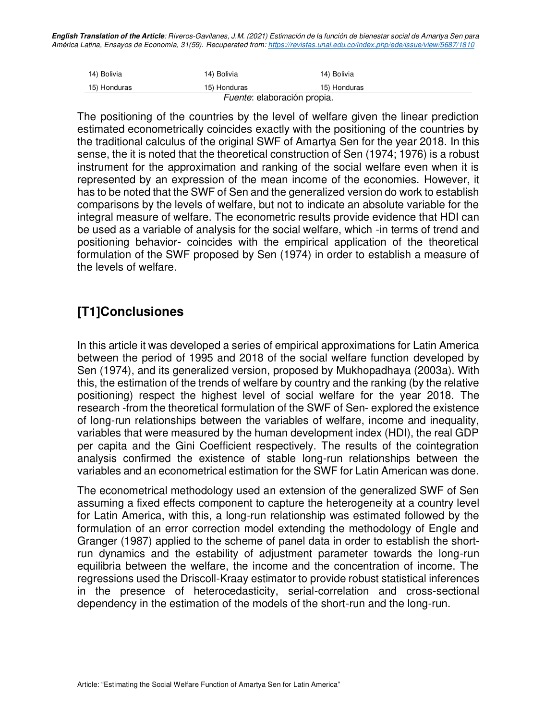**English Translation of the Article**: Riveros-Gavilanes, J.M. (2021) Estimación de la función de bienestar social de Amartya Sen para América Latina, Ensayos de Economía, 31(59). Recuperated from:<https://revistas.unal.edu.co/index.php/ede/issue/view/5687/1810>

| 14) Bolivia  | 14) Bolivia  | 14) Bolivia  |
|--------------|--------------|--------------|
| 15) Honduras | 15) Honduras | 15) Honduras |
|              |              |              |

Fuente: elaboración propia.

The positioning of the countries by the level of welfare given the linear prediction estimated econometrically coincides exactly with the positioning of the countries by the traditional calculus of the original SWF of Amartya Sen for the year 2018. In this sense, the it is noted that the theoretical construction of Sen (1974; 1976) is a robust instrument for the approximation and ranking of the social welfare even when it is represented by an expression of the mean income of the economies. However, it has to be noted that the SWF of Sen and the generalized version do work to establish comparisons by the levels of welfare, but not to indicate an absolute variable for the integral measure of welfare. The econometric results provide evidence that HDI can be used as a variable of analysis for the social welfare, which -in terms of trend and positioning behavior- coincides with the empirical application of the theoretical formulation of the SWF proposed by Sen (1974) in order to establish a measure of the levels of welfare.

### **[T1]Conclusiones**

In this article it was developed a series of empirical approximations for Latin America between the period of 1995 and 2018 of the social welfare function developed by Sen (1974), and its generalized version, proposed by Mukhopadhaya (2003a). With this, the estimation of the trends of welfare by country and the ranking (by the relative positioning) respect the highest level of social welfare for the year 2018. The research -from the theoretical formulation of the SWF of Sen- explored the existence of long-run relationships between the variables of welfare, income and inequality, variables that were measured by the human development index (HDI), the real GDP per capita and the Gini Coefficient respectively. The results of the cointegration analysis confirmed the existence of stable long-run relationships between the variables and an econometrical estimation for the SWF for Latin American was done.

The econometrical methodology used an extension of the generalized SWF of Sen assuming a fixed effects component to capture the heterogeneity at a country level for Latin America, with this, a long-run relationship was estimated followed by the formulation of an error correction model extending the methodology of Engle and Granger (1987) applied to the scheme of panel data in order to establish the shortrun dynamics and the estability of adjustment parameter towards the long-run equilibria between the welfare, the income and the concentration of income. The regressions used the Driscoll-Kraay estimator to provide robust statistical inferences in the presence of heterocedasticity, serial-correlation and cross-sectional dependency in the estimation of the models of the short-run and the long-run.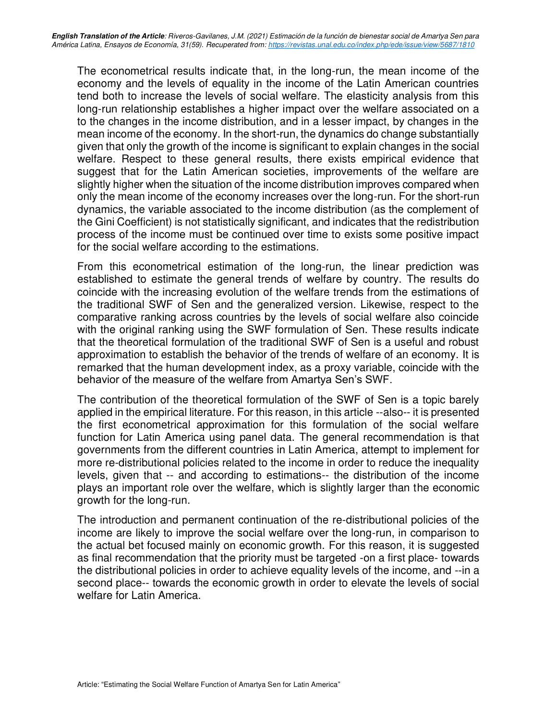The econometrical results indicate that, in the long-run, the mean income of the economy and the levels of equality in the income of the Latin American countries tend both to increase the levels of social welfare. The elasticity analysis from this long-run relationship establishes a higher impact over the welfare associated on a to the changes in the income distribution, and in a lesser impact, by changes in the mean income of the economy. In the short-run, the dynamics do change substantially given that only the growth of the income is significant to explain changes in the social welfare. Respect to these general results, there exists empirical evidence that suggest that for the Latin American societies, improvements of the welfare are slightly higher when the situation of the income distribution improves compared when only the mean income of the economy increases over the long-run. For the short-run dynamics, the variable associated to the income distribution (as the complement of the Gini Coefficient) is not statistically significant, and indicates that the redistribution process of the income must be continued over time to exists some positive impact for the social welfare according to the estimations.

From this econometrical estimation of the long-run, the linear prediction was established to estimate the general trends of welfare by country. The results do coincide with the increasing evolution of the welfare trends from the estimations of the traditional SWF of Sen and the generalized version. Likewise, respect to the comparative ranking across countries by the levels of social welfare also coincide with the original ranking using the SWF formulation of Sen. These results indicate that the theoretical formulation of the traditional SWF of Sen is a useful and robust approximation to establish the behavior of the trends of welfare of an economy. It is remarked that the human development index, as a proxy variable, coincide with the behavior of the measure of the welfare from Amartya Sen's SWF.

The contribution of the theoretical formulation of the SWF of Sen is a topic barely applied in the empirical literature. For this reason, in this article --also-- it is presented the first econometrical approximation for this formulation of the social welfare function for Latin America using panel data. The general recommendation is that governments from the different countries in Latin America, attempt to implement for more re-distributional policies related to the income in order to reduce the inequality levels, given that -- and according to estimations-- the distribution of the income plays an important role over the welfare, which is slightly larger than the economic growth for the long-run.

The introduction and permanent continuation of the re-distributional policies of the income are likely to improve the social welfare over the long-run, in comparison to the actual bet focused mainly on economic growth. For this reason, it is suggested as final recommendation that the priority must be targeted -on a first place- towards the distributional policies in order to achieve equality levels of the income, and --in a second place-- towards the economic growth in order to elevate the levels of social welfare for Latin America.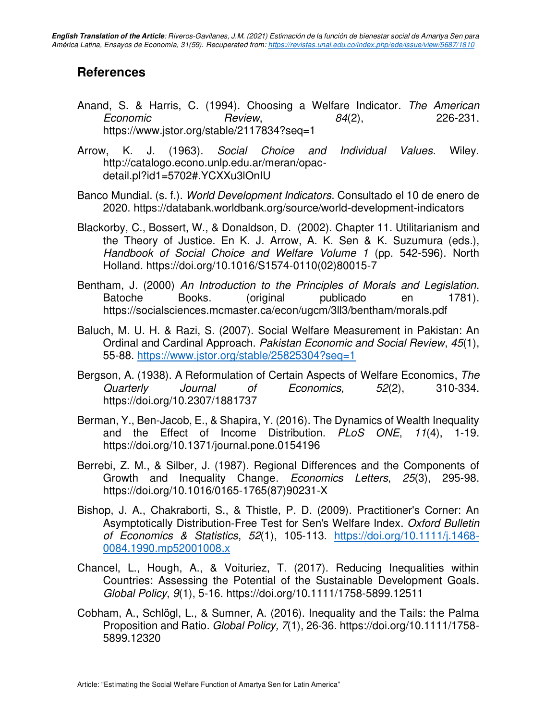### **References**

- Anand, S. & Harris, C. (1994). Choosing a Welfare Indicator. The American Economic Review, 84(2), 226-231. https://www.jstor.org/stable/2117834?seq=1
- Arrow, K. J. (1963). Social Choice and Individual Values. Wiley. http://catalogo.econo.unlp.edu.ar/meran/opacdetail.pl?id1=5702#.YCXXu3lOnIU
- Banco Mundial. (s. f.). World Development Indicators. Consultado el 10 de enero de 2020. https://databank.worldbank.org/source/world-development-indicators
- Blackorby, C., Bossert, W., & Donaldson, D. (2002). Chapter 11. Utilitarianism and the Theory of Justice. En K. J. Arrow, A. K. Sen & K. Suzumura (eds.), Handbook of Social Choice and Welfare Volume 1 (pp. 542-596). North Holland. https://doi.org/10.1016/S1574-0110(02)80015-7
- Bentham, J. (2000) An Introduction to the Principles of Morals and Legislation. Batoche Books. (original publicado en 1781). https://socialsciences.mcmaster.ca/econ/ugcm/3ll3/bentham/morals.pdf
- Baluch, M. U. H. & Razi, S. (2007). Social Welfare Measurement in Pakistan: An Ordinal and Cardinal Approach. Pakistan Economic and Social Review, 45(1), 55-88.<https://www.jstor.org/stable/25825304?seq=1>
- Bergson, A. (1938). A Reformulation of Certain Aspects of Welfare Economics, The Quarterly Journal of Economics, 52(2), 310-334. https://doi.org/10.2307/1881737
- Berman, Y., Ben-Jacob, E., & Shapira, Y. (2016). The Dynamics of Wealth Inequality and the Effect of Income Distribution. PLoS ONE, 11(4), 1-19. https://doi.org/10.1371/journal.pone.0154196
- Berrebi, Z. M., & Silber, J. (1987). Regional Differences and the Components of Growth and Inequality Change. Economics Letters, 25(3), 295-98. https://doi.org/10.1016/0165-1765(87)90231-X
- Bishop, J. A., Chakraborti, S., & Thistle, P. D. (2009). Practitioner's Corner: An Asymptotically Distribution-Free Test for Sen's Welfare Index. Oxford Bulletin of Economics & Statistics, 52(1), 105-113. [https://doi.org/10.1111/j.1468-](https://doi.org/10.1111/j.1468-0084.1990.mp52001008.x) [0084.1990.mp52001008.x](https://doi.org/10.1111/j.1468-0084.1990.mp52001008.x)
- Chancel, L., Hough, A., & Voituriez, T. (2017). Reducing Inequalities within Countries: Assessing the Potential of the Sustainable Development Goals. Global Policy, 9(1), 5-16. https://doi.org/10.1111/1758-5899.12511
- Cobham, A., Schlögl, L., & Sumner, A. (2016). Inequality and the Tails: the Palma Proposition and Ratio. Global Policy, 7(1), 26-36. https://doi.org/10.1111/1758- 5899.12320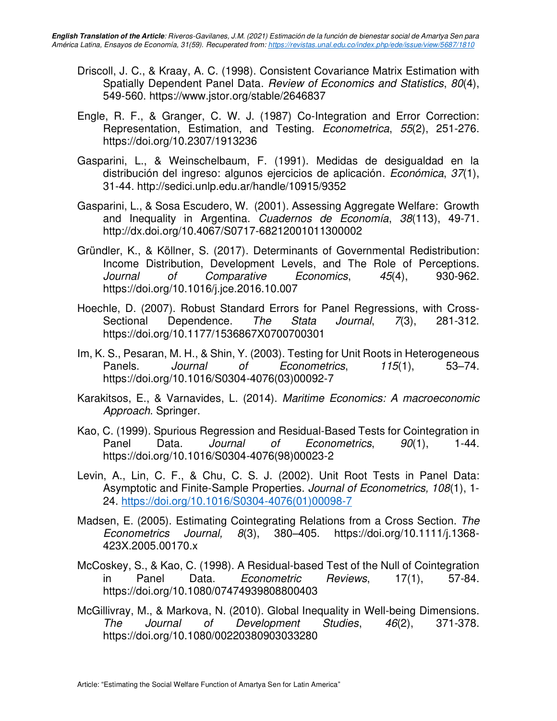- Driscoll, J. C., & Kraay, A. C. (1998). Consistent Covariance Matrix Estimation with Spatially Dependent Panel Data. Review of Economics and Statistics, 80(4), 549-560. https://www.jstor.org/stable/2646837
- Engle, R. F., & Granger, C. W. J. (1987) Co-Integration and Error Correction: Representation, Estimation, and Testing. Econometrica, 55(2), 251-276. https://doi.org/10.2307/1913236
- Gasparini, L., & Weinschelbaum, F. (1991). Medidas de desigualdad en la distribución del ingreso: algunos ejercicios de aplicación. Económica, 37(1), 31-44. http://sedici.unlp.edu.ar/handle/10915/9352
- Gasparini, L., & Sosa Escudero, W. (2001). Assessing Aggregate Welfare: Growth and Inequality in Argentina. Cuadernos de Economía, 38(113), 49-71. http://dx.doi.org/10.4067/S0717-68212001011300002
- Gründler, K., & Köllner, S. (2017). Determinants of Governmental Redistribution: Income Distribution, Development Levels, and The Role of Perceptions. Journal of Comparative Economics, 45(4), 930-962. https://doi.org/10.1016/j.jce.2016.10.007
- Hoechle, D. (2007). Robust Standard Errors for Panel Regressions, with Cross-Sectional Dependence. The Stata Journal, 7(3), 281-312. https://doi.org/10.1177/1536867X0700700301
- Im, K. S., Pesaran, M. H., & Shin, Y. (2003). Testing for Unit Roots in Heterogeneous Panels. Journal of Econometrics, 115(1), 53–74. https://doi.org/10.1016/S0304-4076(03)00092-7
- Karakitsos, E., & Varnavides, L. (2014). Maritime Economics: A macroeconomic Approach. Springer.
- Kao, C. (1999). Spurious Regression and Residual-Based Tests for Cointegration in Panel Data. *Journal of Econometrics*, 90(1), 1-44. https://doi.org/10.1016/S0304-4076(98)00023-2
- Levin, A., Lin, C. F., & Chu, C. S. J. (2002). Unit Root Tests in Panel Data: Asymptotic and Finite-Sample Properties. Journal of Econometrics, 108(1), 1- 24. [https://doi.org/10.1016/S0304-4076\(01\)00098-7](https://doi.org/10.1016/S0304-4076(01)00098-7)
- Madsen, E. (2005). Estimating Cointegrating Relations from a Cross Section. The Econometrics Journal, 8(3), 380–405. [https://doi.org/10.1111/j.1368-](https://doi.org/10.1111/j.1368-423X.2005.00170.x) [423X.2005.00170.x](https://doi.org/10.1111/j.1368-423X.2005.00170.x)
- McCoskey, S., & Kao, C. (1998). A Residual-based Test of the Null of Cointegration in Panel Data. Econometric Reviews, 17(1), 57-84. https://doi.org/10.1080/07474939808800403
- McGillivray, M., & Markova, N. (2010). Global Inequality in Well-being Dimensions. The Journal of Development Studies, 46(2), 371-378. https://doi.org/10.1080/00220380903033280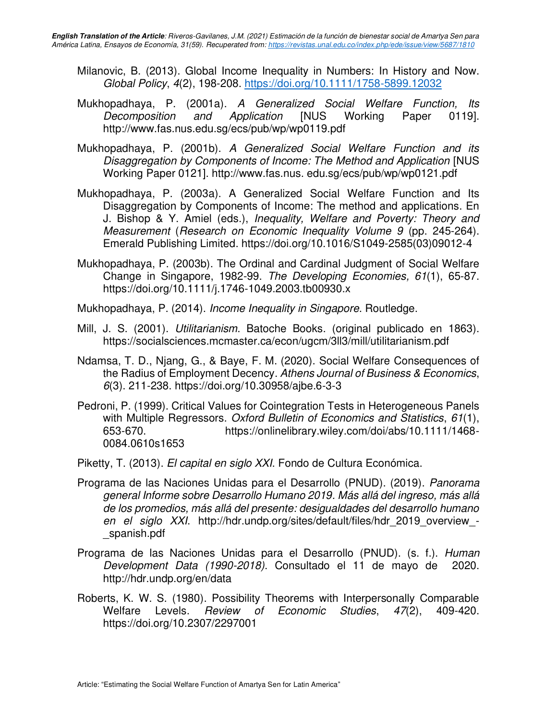- Milanovic, B. (2013). Global Income Inequality in Numbers: In History and Now. Global Policy, 4(2), 198-208.<https://doi.org/10.1111/1758-5899.12032>
- Mukhopadhaya, P. (2001a). A Generalized Social Welfare Function, Its Decomposition and Application [NUS Working Paper 0119]. http://www.fas.nus.edu.sg/ecs/pub/wp/wp0119.pdf
- Mukhopadhaya, P. (2001b). A Generalized Social Welfare Function and its Disaggregation by Components of Income: The Method and Application [NUS Working Paper 0121]. http://www.fas.nus. edu.sg/ecs/pub/wp/wp0121.pdf
- Mukhopadhaya, P. (2003a). A Generalized Social Welfare Function and Its Disaggregation by Components of Income: The method and applications. En J. Bishop & Y. Amiel (eds.), Inequality, Welfare and Poverty: Theory and Measurement (Research on Economic Inequality Volume 9 (pp. 245-264). Emerald Publishing Limited. https://doi.org/10.1016/S1049-2585(03)09012-4
- Mukhopadhaya, P. (2003b). The Ordinal and Cardinal Judgment of Social Welfare Change in Singapore, 1982-99. The Developing Economies, 61(1), 65-87. https://doi.org/10.1111/j.1746-1049.2003.tb00930.x
- Mukhopadhaya, P. (2014). Income Inequality in Singapore. Routledge.
- Mill, J. S. (2001). Utilitarianism. Batoche Books. (original publicado en 1863). https://socialsciences.mcmaster.ca/econ/ugcm/3ll3/mill/utilitarianism.pdf
- Ndamsa, T. D., Njang, G., & Baye, F. M. (2020). Social Welfare Consequences of the Radius of Employment Decency. Athens Journal of Business & Economics, 6(3). 211-238. https://doi.org/10.30958/ajbe.6-3-3
- Pedroni, P. (1999). Critical Values for Cointegration Tests in Heterogeneous Panels with Multiple Regressors. Oxford Bulletin of Economics and Statistics, 61(1), 653-670. https://onlinelibrary.wiley.com/doi/abs/10.1111/1468- 0084.0610s1653
- Piketty, T. (2013). El capital en siglo XXI. Fondo de Cultura Económica.
- Programa de las Naciones Unidas para el Desarrollo (PNUD). (2019). Panorama general Informe sobre Desarrollo Humano 2019. Más allá del ingreso, más allá de los promedios, más allá del presente: desigualdades del desarrollo humano en el siglo XXI. http://hdr.undp.org/sites/default/files/hdr 2019 overview -\_spanish.pdf
- Programa de las Naciones Unidas para el Desarrollo (PNUD). (s. f.). Human Development Data (1990-2018). Consultado el 11 de mayo de 2020. http://hdr.undp.org/en/data
- Roberts, K. W. S. (1980). Possibility Theorems with Interpersonally Comparable Welfare Levels. Review of Economic Studies, 47(2), 409-420. https://doi.org/10.2307/2297001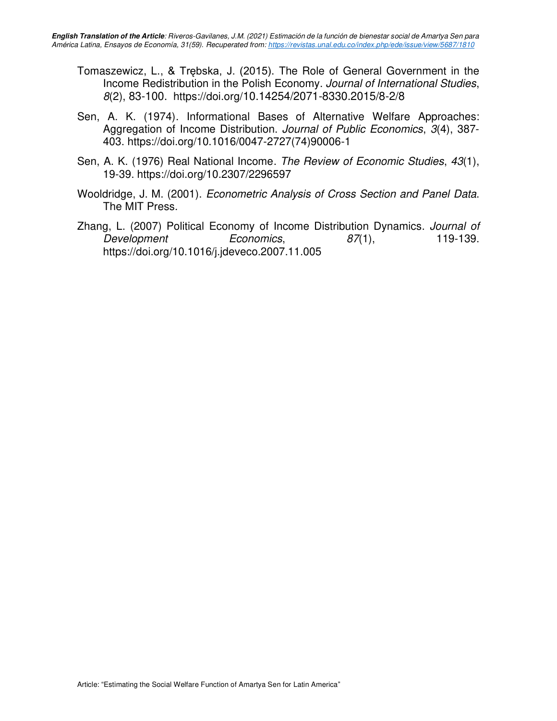- Tomaszewicz, L., & Trębska, J. (2015). The Role of General Government in the Income Redistribution in the Polish Economy. Journal of International Studies, 8(2), 83-100. https://doi.org/10.14254/2071-8330.2015/8-2/8
- Sen, A. K. (1974). Informational Bases of Alternative Welfare Approaches: Aggregation of Income Distribution. Journal of Public Economics, 3(4), 387- 403. https://doi.org/10.1016/0047-2727(74)90006-1
- Sen, A. K. (1976) Real National Income. The Review of Economic Studies, 43(1), 19-39. https://doi.org/10.2307/2296597
- Wooldridge, J. M. (2001). Econometric Analysis of Cross Section and Panel Data. The MIT Press.
- Zhang, L. (2007) Political Economy of Income Distribution Dynamics. Journal of Development Economics, 87(1), 119-139. https://doi.org/10.1016/j.jdeveco.2007.11.005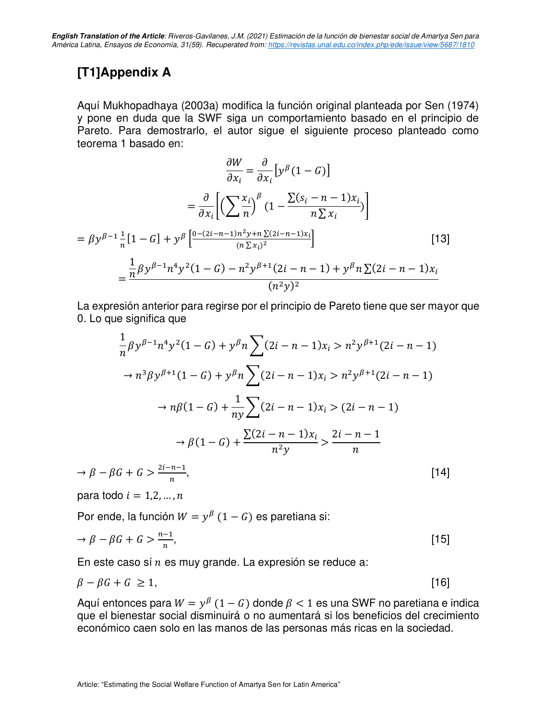### **[T1]Appendix A**

Aquí Mukhopadhaya (2003a) modifica la función original planteada por Sen (1974) y pone en duda que la SWF siga un comportamiento basado en el principio de Pareto. Para demostrarlo, el autor sigue el siguiente proceso planteado como teorema 1 basado en:

$$
\frac{\partial W}{\partial x_i} = \frac{\partial}{\partial x_i} \left[ y^{\beta} (1 - G) \right]
$$

$$
= \frac{\partial}{\partial x_i} \left[ \left( \sum \frac{x_i}{n} \right)^{\beta} (1 - \frac{\sum (s_i - n - 1)x_i}{n \sum x_i}) \right]
$$

$$
= \beta y^{\beta - 1} \frac{1}{n} [1 - G] + y^{\beta} \left[ \frac{0 - (2i - n - 1)n^2 y + n \sum (2i - n - 1)x_i}{(n \sum x_i)^2} \right]
$$

$$
= \frac{\frac{1}{n} \beta y^{\beta - 1} n^4 y^2 (1 - G) - n^2 y^{\beta + 1} (2i - n - 1) + y^{\beta} n \sum (2i - n - 1)x_i}{(n^2 y)^2}
$$
(12)

La expresión anterior para regirse por el principio de Pareto tiene que ser mayor que 0. Lo que significa que

$$
\frac{1}{n}\beta y^{\beta-1}n^4y^2(1-G) + y^\beta n \sum (2i - n - 1)x_i > n^2y^{\beta+1}(2i - n - 1)
$$
  

$$
\to n^3\beta y^{\beta+1}(1-G) + y^\beta n \sum (2i - n - 1)x_i > n^2y^{\beta+1}(2i - n - 1)
$$
  

$$
\to n\beta(1-G) + \frac{1}{ny} \sum (2i - n - 1)x_i > (2i - n - 1)
$$
  

$$
\to \beta(1-G) + \frac{\sum (2i - n - 1)x_i}{n^2y} > \frac{2i - n - 1}{n}
$$
  

$$
\to \beta - \beta G + G > \frac{2i - n - 1}{n},
$$
 [14]

para todo  $i = 1, 2, ..., n$ 

Por ende, la función  $W = y^{\beta} (1 - G)$  es paretiana si:

$$
\to \beta - \beta G + G > \frac{n-1}{n},\tag{15}
$$

En este caso sí  $n$  es muy grande. La expresión se reduce a:

$$
\beta - \beta G + G \ge 1, \tag{16}
$$

Aquí entonces para  $W = y^{\beta} (1 - G)$  donde  $\beta < 1$  es una SWF no paretiana e indica que el bienestar social disminuirá o no aumentará si los beneficios del crecimiento económico caen solo en las manos de las personas más ricas en la sociedad.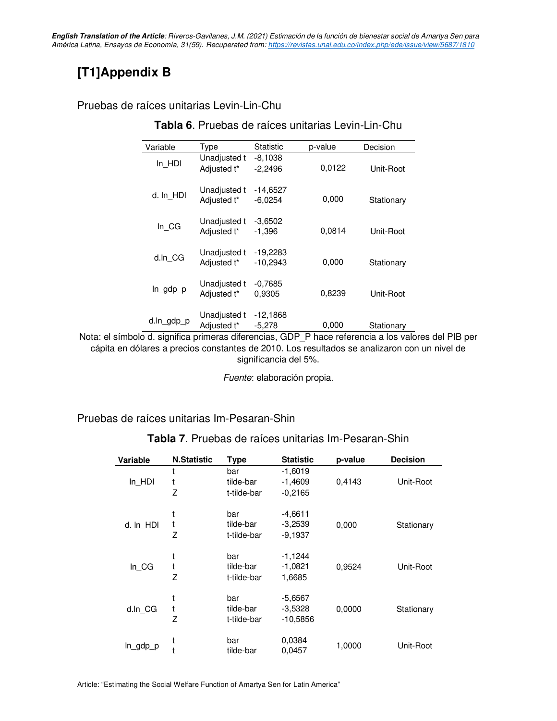**English Translation of the Article**: Riveros-Gavilanes, J.M. (2021) Estimación de la función de bienestar social de Amartya Sen para América Latina, Ensayos de Economía, 31(59). Recuperated from: https://revistas.unal.edu.co/index.php/ede/issue/view/5687/1810

### **[T1]Appendix B**

#### Pruebas de raíces unitarias Levin-Lin-Chu

| Variable   | Type                        | Statistic                | p-value | Decision   |
|------------|-----------------------------|--------------------------|---------|------------|
| $In_HDI$   | Unadjusted t<br>Adjusted t* | $-8,1038$<br>$-2,2496$   | 0,0122  | Unit-Root  |
| d. In HDI  | Unadjusted t<br>Adjusted t* | -14,6527<br>$-6,0254$    | 0,000   | Stationary |
| $In_C G$   | Unadjusted t<br>Adjusted t* | $-3.6502$<br>$-1,396$    | 0,0814  | Unit-Root  |
| d.ln CG    | Unadjusted t<br>Adjusted t* | $-19,2283$<br>$-10,2943$ | 0,000   | Stationary |
| In_gdp_p   | Unadjusted t<br>Adjusted t* | $-0.7685$<br>0.9305      | 0,8239  | Unit-Root  |
| d.ln_gdp_p | Unadjusted t<br>Adjusted t* | -12,1868<br>$-5,278$     | 0,000   | Stationary |

**Tabla 6**. Pruebas de raíces unitarias Levin-Lin-Chu

Nota: el símbolo d. significa primeras diferencias, GDP\_P hace referencia a los valores del PIB per cápita en dólares a precios constantes de 2010. Los resultados se analizaron con un nivel de significancia del 5%.

Fuente: elaboración propia.

Pruebas de raíces unitarias Im-Pesaran-Shin

| Variable  | <b>N.Statistic</b> | <b>Type</b> | <b>Statistic</b> | p-value | <b>Decision</b> |
|-----------|--------------------|-------------|------------------|---------|-----------------|
|           |                    | bar         | $-1,6019$        |         |                 |
| In HDI    | t                  | tilde-bar   | $-1,4609$        | 0,4143  | Unit-Root       |
|           | Z                  | t-tilde-bar | $-0.2165$        |         |                 |
|           |                    | bar         | $-4,6611$        |         |                 |
| d. In_HDI |                    | tilde-bar   | $-3,2539$        | 0,000   | Stationary      |
|           | 7                  | t-tilde-bar | $-9,1937$        |         |                 |
|           |                    | bar         | $-1,1244$        |         |                 |
| In CG     |                    | tilde-bar   | $-1,0821$        | 0,9524  | Unit-Root       |
|           | 7                  | t-tilde-bar | 1,6685           |         |                 |
|           |                    |             |                  |         |                 |
|           |                    | bar         | $-5,6567$        |         |                 |
| d.ln_CG   | t                  | tilde-bar   | $-3.5328$        | 0,0000  | Stationary      |
|           | 7                  | t-tilde-bar | $-10,5856$       |         |                 |
|           |                    | bar         | 0,0384           |         |                 |
| ln_gdp_p  |                    | tilde-bar   | 0,0457           | 1,0000  | Unit-Root       |

**Tabla 7**. Pruebas de raíces unitarias Im-Pesaran-Shin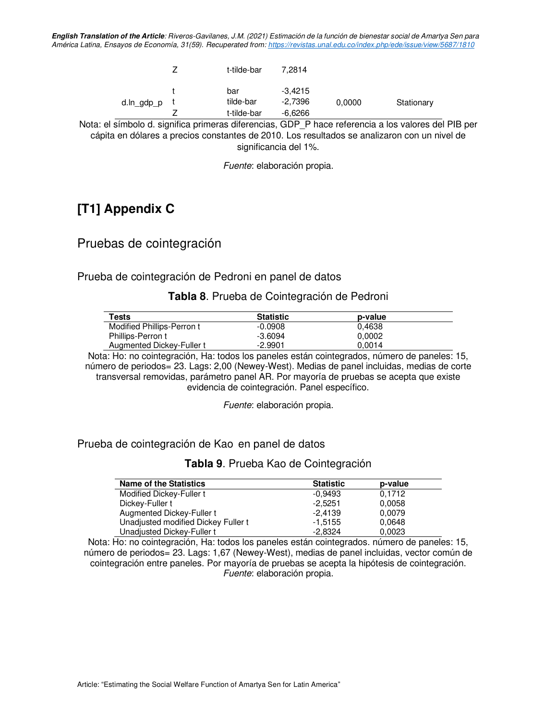**English Translation of the Article**: Riveros-Gavilanes, J.M. (2021) Estimación de la función de bienestar social de Amartya Sen para América Latina, Ensayos de Economía, 31(59). Recuperated from:<https://revistas.unal.edu.co/index.php/ede/issue/view/5687/1810>

|            | t-tilde-bar                     | 7.2814                          |        |            |
|------------|---------------------------------|---------------------------------|--------|------------|
| d.ln_gdp_p | bar<br>tilde-bar<br>t-tilde-bar | $-3.4215$<br>-2.7396<br>-6,6266 | 0,0000 | Stationary |

Nota: el símbolo d. significa primeras diferencias, GDP\_P hace referencia a los valores del PIB per cápita en dólares a precios constantes de 2010. Los resultados se analizaron con un nivel de significancia del 1%.

Fuente: elaboración propia.

### **[T1] Appendix C**

Pruebas de cointegración

Prueba de cointegración de Pedroni en panel de datos

**Tabla 8**. Prueba de Cointegración de Pedroni

| Tests                      | <b>Statistic</b> | p-value |  |
|----------------------------|------------------|---------|--|
| Modified Phillips-Perron t | $-0.0908$        | 0.4638  |  |
| Phillips-Perron t          | $-3.6094$        | 0.0002  |  |
| Augmented Dickey-Fuller t  | $-2.9901$        | 0.0014  |  |

Nota: Ho: no cointegración, Ha: todos los paneles están cointegrados, número de paneles: 15, número de periodos= 23. Lags: 2,00 (Newey-West). Medias de panel incluidas, medias de corte transversal removidas, parámetro panel AR. Por mayoría de pruebas se acepta que existe evidencia de cointegración. Panel específico.

Fuente: elaboración propia.

#### Prueba de cointegración de Kao en panel de datos

**Tabla 9**. Prueba Kao de Cointegración

| <b>Name of the Statistics</b>       | <b>Statistic</b> | p-value |
|-------------------------------------|------------------|---------|
| Modified Dickey-Fuller t            | -0.9493          | 0.1712  |
| Dickey-Fuller t                     | $-2.5251$        | 0,0058  |
| Augmented Dickey-Fuller t           | -2.4139          | 0.0079  |
| Unadjusted modified Dickey Fuller t | $-1.5155$        | 0,0648  |
| Unadjusted Dickey-Fuller t          | -2.8324          | 0,0023  |

Nota: Ho: no cointegración, Ha: todos los paneles están cointegrados. número de paneles: 15, número de periodos= 23. Lags: 1,67 (Newey-West), medias de panel incluidas, vector común de cointegración entre paneles. Por mayoría de pruebas se acepta la hipótesis de cointegración. Fuente: elaboración propia.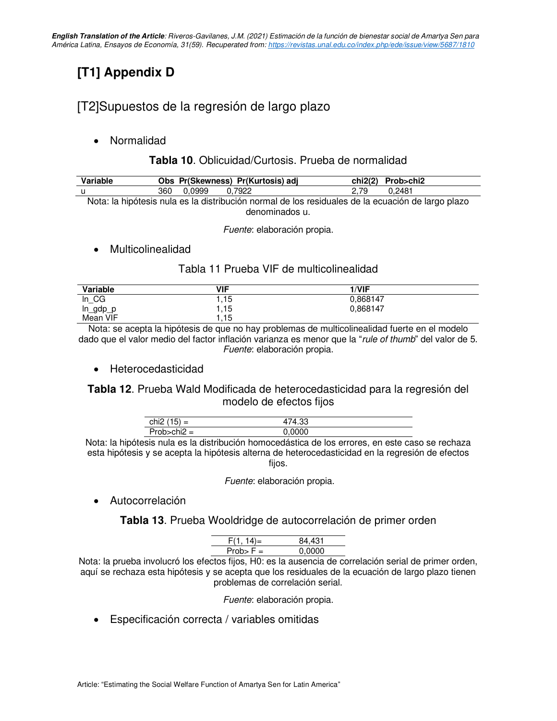## **[T1] Appendix D**

### [T2]Supuestos de la regresión de largo plazo

• Normalidad

### **Tabla 10**. Oblicuidad/Curtosis. Prueba de normalidad

| Variable | Obs Pr(Skewness) Pr(Kurtosis) adj                                                                 | chi2(2) Prob>chi2 |
|----------|---------------------------------------------------------------------------------------------------|-------------------|
| - u      | 360  0.0999<br>0.7922                                                                             | 2.79<br>0.2481    |
|          | Nota: la hipótesis nula es la distribución normal de los residuales de la ecuación de largo plazo |                   |

denominados u.

Fuente: elaboración propia.

• Multicolinealidad

#### Tabla 11 Prueba VIF de multicolinealidad

| Variable | <b>VIF</b> | 1/VIF    |  |
|----------|------------|----------|--|
| $In_C G$ | 1.15       | 0,868147 |  |
| In_gdp   | 1.15       | 0,868147 |  |
| Mean VIF | 1.15       |          |  |

Nota: se acepta la hipótesis de que no hay problemas de multicolinealidad fuerte en el modelo dado que el valor medio del factor inflación varianza es menor que la "rule of thumb" del valor de 5. Fuente: elaboración propia.

• Heterocedasticidad

#### **Tabla 12**. Prueba Wald Modificada de heterocedasticidad para la regresión del modelo de efectos fijos

| . .<br>chi2<br>-  | nn.<br>$\Lambda$ |  |
|-------------------|------------------|--|
| $\cdots$<br>Droh- |                  |  |
| $\Delta =$        | мx               |  |

Nota: la hipótesis nula es la distribución homocedástica de los errores, en este caso se rechaza esta hipótesis y se acepta la hipótesis alterna de heterocedasticidad en la regresión de efectos fijos.

Fuente: elaboración propia.

**Autocorrelación** 

**Tabla 13**. Prueba Wooldridge de autocorrelación de primer orden

| $F(1, 14) =$ | 84.431 |
|--------------|--------|
| $Prob > F =$ | 0.0000 |

Nota: la prueba involucró los efectos fijos, H0: es la ausencia de correlación serial de primer orden, aquí se rechaza esta hipótesis y se acepta que los residuales de la ecuación de largo plazo tienen problemas de correlación serial.

Fuente: elaboración propia.

• Especificación correcta / variables omitidas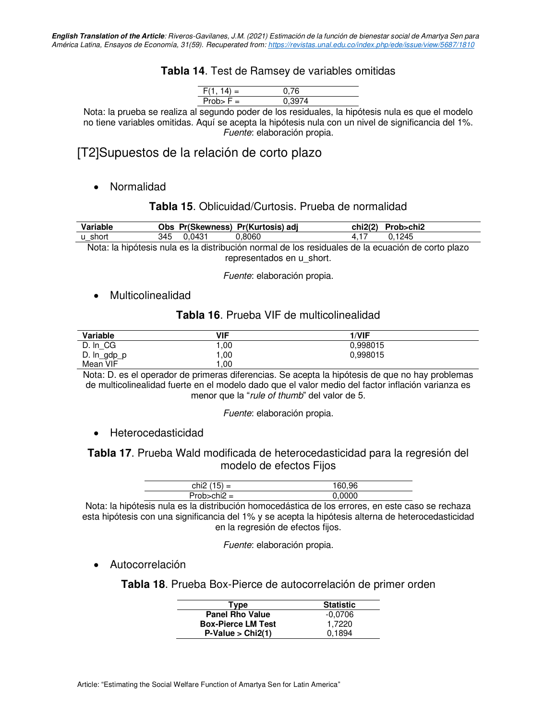#### **Tabla 14**. Test de Ramsey de variables omitidas

| E/1 14)<br>$=$ |   |
|----------------|---|
| b> F =         | . |

Nota: la prueba se realiza al segundo poder de los residuales, la hipótesis nula es que el modelo no tiene variables omitidas. Aquí se acepta la hipótesis nula con un nivel de significancia del 1%. Fuente: elaboración propia.

[T2]Supuestos de la relación de corto plazo

• Normalidad

#### **Tabla 15**. Oblicuidad/Curtosis. Prueba de normalidad

| Variable |     |        | Obs Pr(Skewness) Pr(Kurtosis) adj                                                                         | chi2(2). | Prob>chi2 |
|----------|-----|--------|-----------------------------------------------------------------------------------------------------------|----------|-----------|
| u short  | 345 | 0.0431 | .8060                                                                                                     |          | 1245      |
|          |     |        | Alerea la kto Zresta da la calcadterativa. IZ a deducat de las destabales de la cerca etZa discogna disco |          |           |

Nota: la hipótesis nula es la distribución normal de los residuales de la ecuación de corto plazo representados en u\_short.

Fuente: elaboración propia.

• Multicolinealidad

#### **Tabla 16**. Prueba VIF de multicolinealidad

| Variable       | VIF | 1/VIF    |  |
|----------------|-----|----------|--|
| D. In CG       | .00 | 0.998015 |  |
| D. $ln\_gdp_p$ | .00 | 0,998015 |  |
| Mean VIF       | .00 |          |  |

Nota: D. es el operador de primeras diferencias. Se acepta la hipótesis de que no hay problemas de multicolinealidad fuerte en el modelo dado que el valor medio del factor inflación varianza es menor que la "rule of thumb" del valor de 5.

Fuente: elaboración propia.

• Heterocedasticidad

**Tabla 17**. Prueba Wald modificada de heterocedasticidad para la regresión del modelo de efectos Fijos

| chi2 $(15) =$     | 160.96 |
|-------------------|--------|
| $Prob$ -chi $2 =$ | 0.0000 |
| .                 | .      |

Nota: la hipótesis nula es la distribución homocedástica de los errores, en este caso se rechaza esta hipótesis con una significancia del 1% y se acepta la hipótesis alterna de heterocedasticidad en la regresión de efectos fijos.

Fuente: elaboración propia.

#### • Autocorrelación

**Tabla 18**. Prueba Box-Pierce de autocorrelación de primer orden

| Type                      | <b>Statistic</b> |
|---------------------------|------------------|
| <b>Panel Rho Value</b>    | $-0.0706$        |
| <b>Box-Pierce LM Test</b> | 1.7220           |
| $P-Value > Chi2(1)$       | 0.1894           |